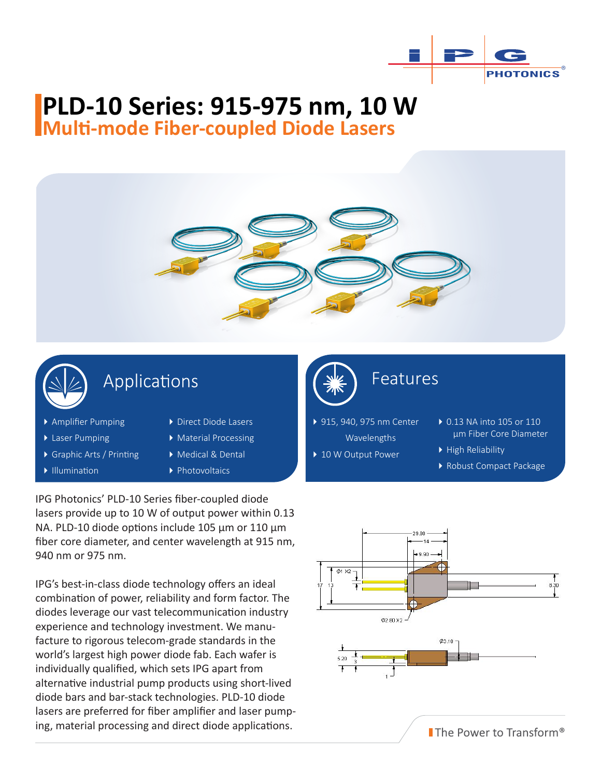

# **PLD-10 Series: 915-975 nm, 10 W**

**Multi-mode Fiber-coupled Diode Lasers**



### Applications

- Amplifier Pumping
- ▶ Laser Pumping
- Graphic Arts / Printing
- Illumination
- ▶ Direct Diode Lasers
- Material Processing
- Medical & Dental
- ▶ Photovoltaics

IPG Photonics' PLD-10 Series fiber-coupled diode lasers provide up to 10 W of output power within 0.13 NA. PLD-10 diode options include 105 μm or 110 μm fiber core diameter, and center wavelength at 915 nm, 940 nm or 975 nm.

IPG's best-in-class diode technology offers an ideal combination of power, reliability and form factor. The diodes leverage our vast telecommunication industry experience and technology investment. We manufacture to rigorous telecom-grade standards in the world's largest high power diode fab. Each wafer is individually qualified, which sets IPG apart from alternative industrial pump products using short-lived diode bars and bar-stack technologies. PLD-10 diode lasers are preferred for fiber amplifier and laser pumping, material processing and direct diode applications.



Features

▶ 915, 940, 975 nm Center Wavelengths

▶ 10 W Output Power

▶ 0.13 NA into 105 or 110 μm Fiber Core Diameter High Reliability

Robust Compact Package